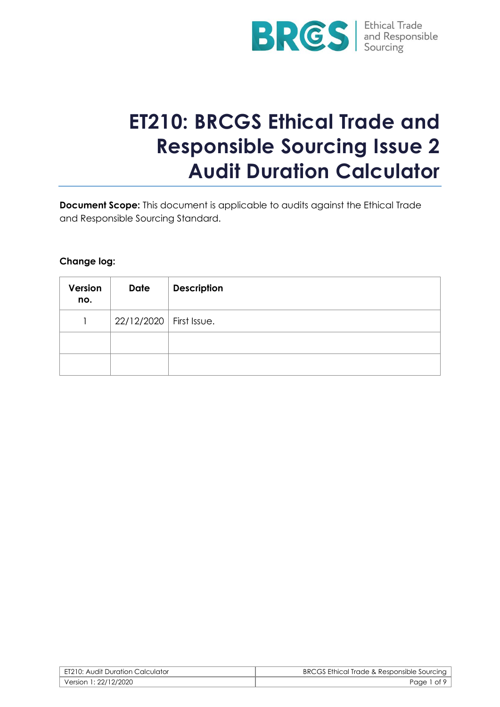

# **ET210: BRCGS Ethical Trade and Responsible Sourcing Issue 2 Audit Duration Calculator**

**Document Scope:** This document is applicable to audits against the Ethical Trade and Responsible Sourcing Standard.

## **Change log:**

| Version<br>no. | <b>Date</b>               | <b>Description</b> |
|----------------|---------------------------|--------------------|
|                | 22/12/2020   First Issue. |                    |
|                |                           |                    |
|                |                           |                    |

| ET210: Audit Duration Calculator | BRCGS Ethical Trade & Responsible Sourcing |
|----------------------------------|--------------------------------------------|
| Version 1: 22/12/2020            | Page 1 of 9                                |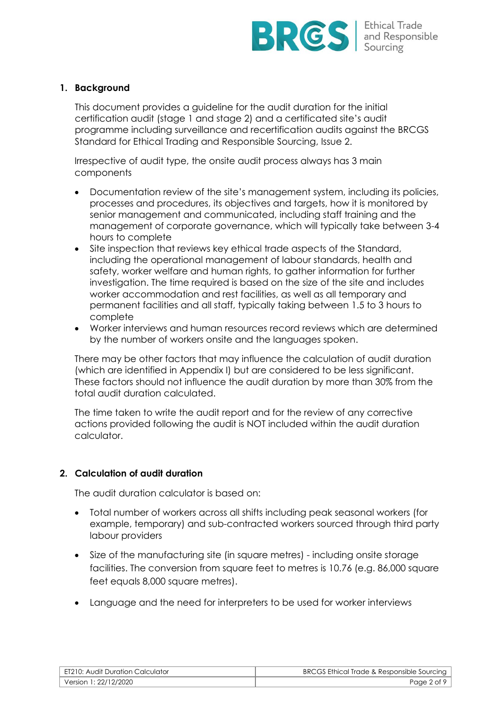

#### **1. Background**

This document provides a guideline for the audit duration for the initial certification audit (stage 1 and stage 2) and a certificated site's audit programme including surveillance and recertification audits against the BRCGS Standard for Ethical Trading and Responsible Sourcing, Issue 2.

Irrespective of audit type, the onsite audit process always has 3 main components

- Documentation review of the site's management system, including its policies, processes and procedures, its objectives and targets, how it is monitored by senior management and communicated, including staff training and the management of corporate governance, which will typically take between 3-4 hours to complete
- Site inspection that reviews key ethical trade aspects of the Standard, including the operational management of labour standards, health and safety, worker welfare and human rights, to gather information for further investigation. The time required is based on the size of the site and includes worker accommodation and rest facilities, as well as all temporary and permanent facilities and all staff, typically taking between 1.5 to 3 hours to complete
- Worker interviews and human resources record reviews which are determined by the number of workers onsite and the languages spoken.

There may be other factors that may influence the calculation of audit duration (which are identified in Appendix I) but are considered to be less significant. These factors should not influence the audit duration by more than 30% from the total audit duration calculated.

The time taken to write the audit report and for the review of any corrective actions provided following the audit is NOT included within the audit duration calculator.

#### **2. Calculation of audit duration**

The audit duration calculator is based on:

- Total number of workers across all shifts including peak seasonal workers (for example, temporary) and sub-contracted workers sourced through third party labour providers
- Size of the manufacturing site (in square metres) including onsite storage facilities. The conversion from square feet to metres is 10.76 (e.g. 86,000 square feet equals 8,000 square metres).
- Language and the need for interpreters to be used for worker interviews

| ET210: Audit Duration Calculator | BRCGS Ethical Trade & Responsible Sourcing |
|----------------------------------|--------------------------------------------|
| Version 1: 22/12/2020            | Page 2 of 9                                |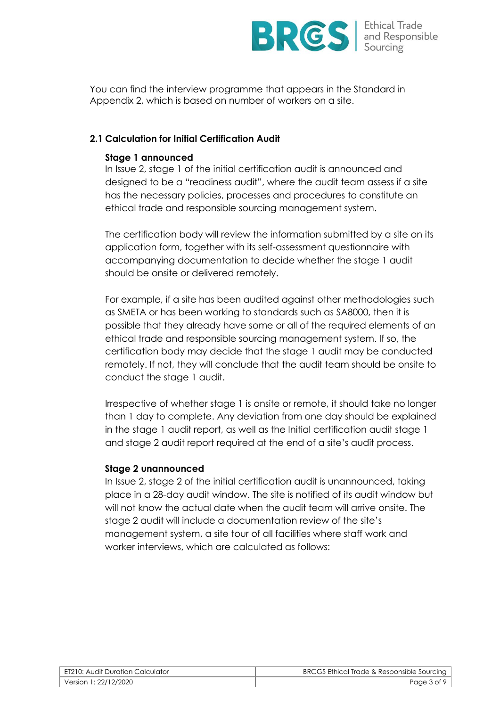

You can find the interview programme that appears in the Standard in Appendix 2, which is based on number of workers on a site.

## **2.1 Calculation for Initial Certification Audit**

#### **Stage 1 announced**

In Issue 2, stage 1 of the initial certification audit is announced and designed to be a "readiness audit", where the audit team assess if a site has the necessary policies, processes and procedures to constitute an ethical trade and responsible sourcing management system.

The certification body will review the information submitted by a site on its application form, together with its self-assessment questionnaire with accompanying documentation to decide whether the stage 1 audit should be onsite or delivered remotely.

For example, if a site has been audited against other methodologies such as SMETA or has been working to standards such as SA8000, then it is possible that they already have some or all of the required elements of an ethical trade and responsible sourcing management system. If so, the certification body may decide that the stage 1 audit may be conducted remotely. If not, they will conclude that the audit team should be onsite to conduct the stage 1 audit.

Irrespective of whether stage 1 is onsite or remote, it should take no longer than 1 day to complete. Any deviation from one day should be explained in the stage 1 audit report, as well as the Initial certification audit stage 1 and stage 2 audit report required at the end of a site's audit process.

#### **Stage 2 unannounced**

In Issue 2, stage 2 of the initial certification audit is unannounced, taking place in a 28-day audit window. The site is notified of its audit window but will not know the actual date when the audit team will arrive onsite. The stage 2 audit will include a documentation review of the site's management system, a site tour of all facilities where staff work and worker interviews, which are calculated as follows:

| ET210: Audit Duration Calculator | BRCGS Ethical Trade & Responsible Sourcing |
|----------------------------------|--------------------------------------------|
| Version 1: 22/12/2020            | Page 3 of 9                                |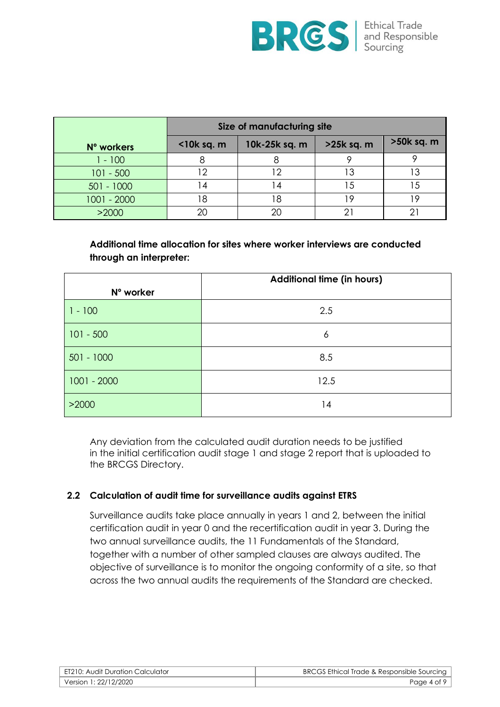

|              | Size of manufacturing site |               |            |            |
|--------------|----------------------------|---------------|------------|------------|
| N° workers   | $<$ 10 $k$ sq. m           | 10k-25k sq. m | >25k sq. m | >50k sq. m |
| $-100$       |                            |               |            |            |
| $101 - 500$  |                            |               | Э          |            |
| $501 - 1000$ | ا 4                        | 14            | $\cdot$    |            |
| 1001 - 2000  | 18                         | 18            | Q          |            |
| >2000        | 2C                         | 20            |            |            |

**Additional time allocation for sites where worker interviews are conducted through an interpreter:**

|               | <b>Additional time (in hours)</b> |
|---------------|-----------------------------------|
| N° worker     |                                   |
| $1 - 100$     | 2.5                               |
| $101 - 500$   | 6                                 |
| $501 - 1000$  | 8.5                               |
| $1001 - 2000$ | 12.5                              |
| >2000         | 14                                |

Any deviation from the calculated audit duration needs to be justified in the initial certification audit stage 1 and stage 2 report that is uploaded to the BRCGS Directory.

## **2.2 Calculation of audit time for surveillance audits against ETRS**

Surveillance audits take place annually in years 1 and 2, between the initial certification audit in year 0 and the recertification audit in year 3. During the two annual surveillance audits, the 11 Fundamentals of the Standard, together with a number of other sampled clauses are always audited. The objective of surveillance is to monitor the ongoing conformity of a site, so that across the two annual audits the requirements of the Standard are checked.

| ET210: Audit Duration Calculator | BRCGS Ethical Trade & Responsible Sourcing |
|----------------------------------|--------------------------------------------|
| Version 1: 22/12/2020            | Page 4 of 9                                |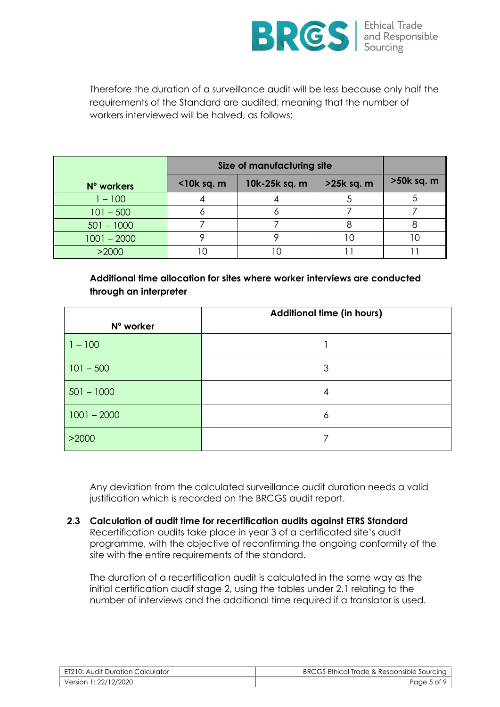

Therefore the duration of a surveillance audit will be less because only half the requirements of the Standard are audited, meaning that the number of workers interviewed will be halved, as follows:

|               | Size of manufacturing site |               |            |            |
|---------------|----------------------------|---------------|------------|------------|
| N° workers    | $<$ 10 $k$ sq. m           | 10k-25k sq. m | >25k sq. m | >50k sq. m |
| $-100$        |                            |               |            |            |
| $101 - 500$   |                            |               |            |            |
| $501 - 1000$  |                            |               |            |            |
| $1001 - 2000$ |                            |               |            |            |
| >2000         |                            |               |            |            |

**Additional time allocation for sites where worker interviews are conducted through an interpreter**

|               | <b>Additional time (in hours)</b> |
|---------------|-----------------------------------|
| N° worker     |                                   |
| $1 - 100$     |                                   |
| $101 - 500$   | 3                                 |
| $501 - 1000$  | 4                                 |
| $1001 - 2000$ | 6                                 |
| >2000         |                                   |

Any deviation from the calculated surveillance audit duration needs a valid justification which is recorded on the BRCGS audit report.

**2.3 Calculation of audit time for recertification audits against ETRS Standard** Recertification audits take place in year 3 of a certificated site's audit programme, with the objective of reconfirming the ongoing conformity of the site with the entire requirements of the standard.

The duration of a recertification audit is calculated in the same way as the initial certification audit stage 2, using the tables under 2.1 relating to the number of interviews and the additional time required if a translator is used.

| ET210: Audit Duration Calculator | BRCGS Ethical Trade & Responsible Sourcing |
|----------------------------------|--------------------------------------------|
| Version 1: 22/12/2020            | Page 5 of 9                                |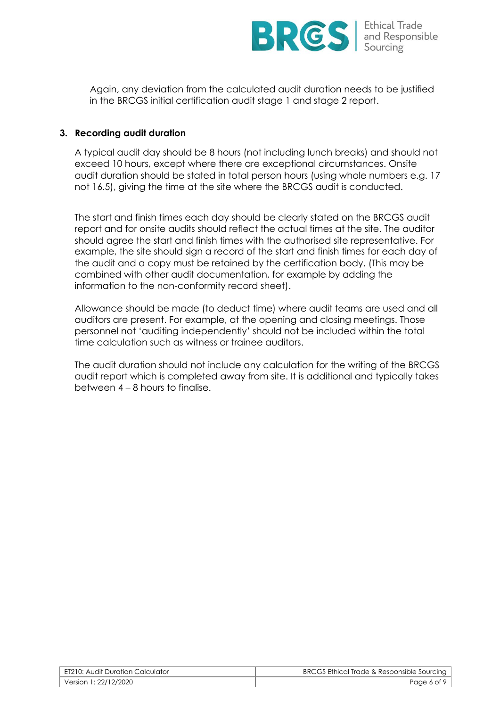

Again, any deviation from the calculated audit duration needs to be justified in the BRCGS initial certification audit stage 1 and stage 2 report.

#### **3. Recording audit duration**

A typical audit day should be 8 hours (not including lunch breaks) and should not exceed 10 hours, except where there are exceptional circumstances. Onsite audit duration should be stated in total person hours (using whole numbers e.g. 17 not 16.5), giving the time at the site where the BRCGS audit is conducted.

The start and finish times each day should be clearly stated on the BRCGS audit report and for onsite audits should reflect the actual times at the site. The auditor should agree the start and finish times with the authorised site representative. For example, the site should sign a record of the start and finish times for each day of the audit and a copy must be retained by the certification body. (This may be combined with other audit documentation, for example by adding the information to the non-conformity record sheet).

Allowance should be made (to deduct time) where audit teams are used and all auditors are present. For example, at the opening and closing meetings. Those personnel not 'auditing independently' should not be included within the total time calculation such as witness or trainee auditors.

The audit duration should not include any calculation for the writing of the BRCGS audit report which is completed away from site. It is additional and typically takes between 4 – 8 hours to finalise.

| ET210: Audit Duration Calculator | BRCGS Ethical Trade & Responsible Sourcing |
|----------------------------------|--------------------------------------------|
| Version 1: 22/12/2020            | Page 6 of 9                                |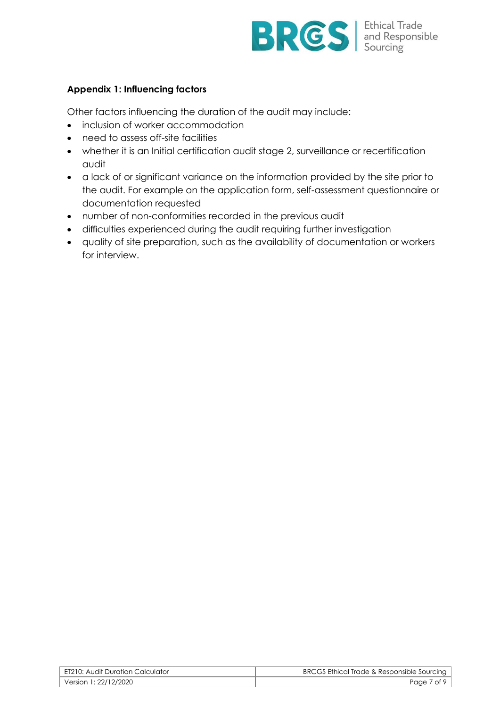

# **Appendix 1: Influencing factors**

Other factors influencing the duration of the audit may include:

- inclusion of worker accommodation
- need to assess off-site facilities
- whether it is an Initial certification audit stage 2, surveillance or recertification audit
- a lack of or significant variance on the information provided by the site prior to the audit. For example on the application form, self-assessment questionnaire or documentation requested
- number of non-conformities recorded in the previous audit
- difficulties experienced during the audit requiring further investigation
- quality of site preparation, such as the availability of documentation or workers for interview.

| ET210: Audit Duration Calculator | BRCGS Ethical Trade & Responsible Sourcing |
|----------------------------------|--------------------------------------------|
| Version 1: 22/12/2020            | Page 7 of 9                                |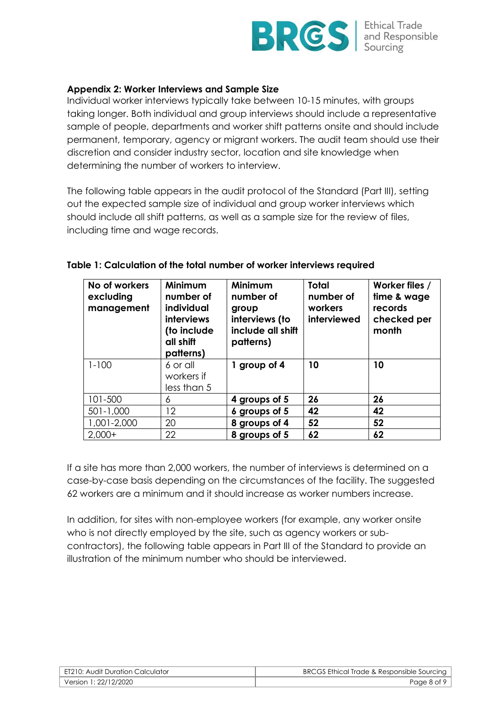

## **Appendix 2: Worker Interviews and Sample Size**

Individual worker interviews typically take between 10-15 minutes, with groups taking longer. Both individual and group interviews should include a representative sample of people, departments and worker shift patterns onsite and should include permanent, temporary, agency or migrant workers. The audit team should use their discretion and consider industry sector, location and site knowledge when determining the number of workers to interview.

The following table appears in the audit protocol of the Standard (Part III), setting out the expected sample size of individual and group worker interviews which should include all shift patterns, as well as a sample size for the review of files, including time and wage records.

| No of workers<br>excluding<br>management | Minimum<br>number of<br>individual<br><b>interviews</b><br>(to include<br>all shift<br>patterns) | Minimum<br>number of<br>group<br>interviews (to<br>include all shift<br>patterns) | <b>Total</b><br>number of<br>workers<br>interviewed | Worker files /<br>time & wage<br>records<br>checked per<br>month |
|------------------------------------------|--------------------------------------------------------------------------------------------------|-----------------------------------------------------------------------------------|-----------------------------------------------------|------------------------------------------------------------------|
| $1 - 100$                                | 6 or all<br>workers if                                                                           | 1 group of 4                                                                      | 10                                                  | 10                                                               |
|                                          | less than 5                                                                                      |                                                                                   |                                                     |                                                                  |
| 101-500                                  | 6                                                                                                | 4 groups of 5                                                                     | 26                                                  | 26                                                               |
| $501 - 1,000$                            | 12                                                                                               | 6 groups of 5                                                                     | 42                                                  | 42                                                               |
| 1,001-2,000                              | 20                                                                                               | 8 groups of 4                                                                     | 52                                                  | 52                                                               |
| $2,000+$                                 | 22                                                                                               | 8 groups of 5                                                                     | 62                                                  | 62                                                               |

#### **Table 1: Calculation of the total number of worker interviews required**

If a site has more than 2,000 workers, the number of interviews is determined on a case-by-case basis depending on the circumstances of the facility. The suggested 62 workers are a minimum and it should increase as worker numbers increase.

In addition, for sites with non-employee workers (for example, any worker onsite who is not directly employed by the site, such as agency workers or subcontractors), the following table appears in Part III of the Standard to provide an illustration of the minimum number who should be interviewed.

| l ET210: Audit Duration Calculator | BRCGS Ethical Trade & Responsible Sourcing |
|------------------------------------|--------------------------------------------|
| Version 1: 22/12/2020 Version      | Page 8 of 9                                |